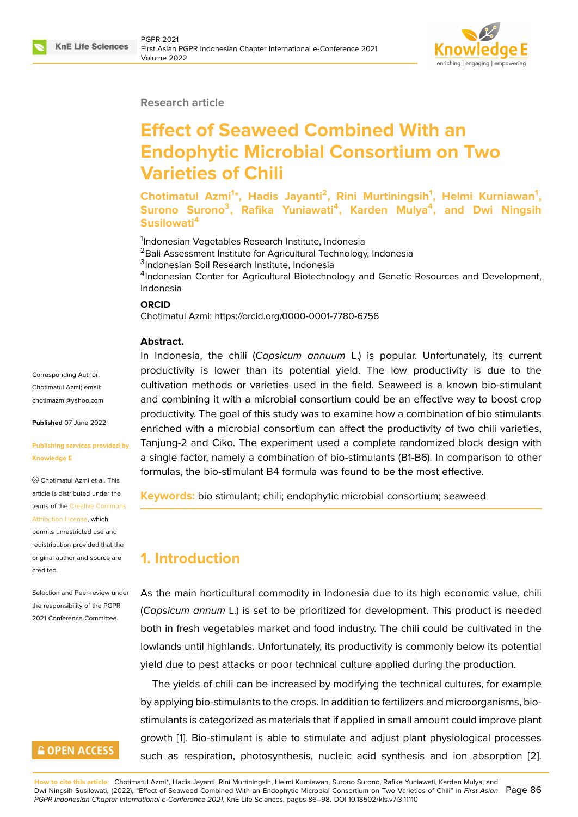

### **Research article**

# **Effect of Seaweed Combined With an Endophytic Microbial Consortium on Two Varieties of Chili**

**Chotimatul Azmi<sup>1</sup> \*, Hadis Jayanti<sup>2</sup> , Rini Murtiningsih<sup>1</sup> , Helmi Kurniawan<sup>1</sup> , Surono Surono<sup>3</sup> , Rafika Yuniawati<sup>4</sup> , Karden Mulya<sup>4</sup> , and Dwi Ningsih Susilowati<sup>4</sup>**

<sup>1</sup>Indonesian Vegetables Research Institute, Indonesia

<sup>2</sup>Bali Assessment Institute for Agricultural Technology, Indonesia

3 Indonesian Soil Research Institute, Indonesia

<sup>4</sup>Indonesian Center for Agricultural Biotechnology and Genetic Resources and Development, Indonesia

#### **ORCID**

Chotimatul Azmi: https://orcid.org/0000-0001-7780-6756

### **Abstract.**

Corresponding Author: Chotimatul Azmi; email: chotimazmi@yahoo.com

**Published** 07 June 2022

### **[Publishing services pro](mailto:chotimazmi@yahoo.com)vided by Knowledge E**

Chotimatul Azmi et al. This article is distributed under the terms of the Creative Commons Attribution License, which

permits unrestricted use and redistribution provided that the original auth[or and source are](https://creativecommons.org/licenses/by/4.0/) [credited.](https://creativecommons.org/licenses/by/4.0/)

Selection and Peer-review under the responsibility of the PGPR 2021 Conference Committee.

# **GOPEN ACCESS**

In Indonesia, the chili (*Capsicum annuum* L.) is popular. Unfortunately, its current productivity is lower than its potential yield. The low productivity is due to the cultivation methods or varieties used in the field. Seaweed is a known bio-stimulant and combining it with a microbial consortium could be an effective way to boost crop productivity. The goal of this study was to examine how a combination of bio stimulants enriched with a microbial consortium can affect the productivity of two chili varieties, Tanjung-2 and Ciko. The experiment used a complete randomized block design with a single factor, namely a combination of bio-stimulants (B1-B6). In comparison to other formulas, the bio-stimulant B4 formula was found to be the most effective.

**Keywords:** bio stimulant; chili; endophytic microbial consortium; seaweed

# **1. Introduction**

As the main horticultural commodity in Indonesia due to its high economic value, chili (*Capsicum annum* L.) is set to be prioritized for development. This product is needed both in fresh vegetables market and food industry. The chili could be cultivated in the lowlands until highlands. Unfortunately, its productivity is commonly below its potential yield due to pest attacks or poor technical culture applied during the production.

The yields of chili can be increased by modifying the technical cultures, for example by applying bio-stimulants to the crops. In addition to fertilizers and microorganisms, biostimulants is categorized as materials that if applied in small amount could improve plant growth [1]. Bio-stimulant is able to stimulate and adjust plant physiological processes such as respiration, photosynthesis, nucleic acid synthesis and ion absorption [2].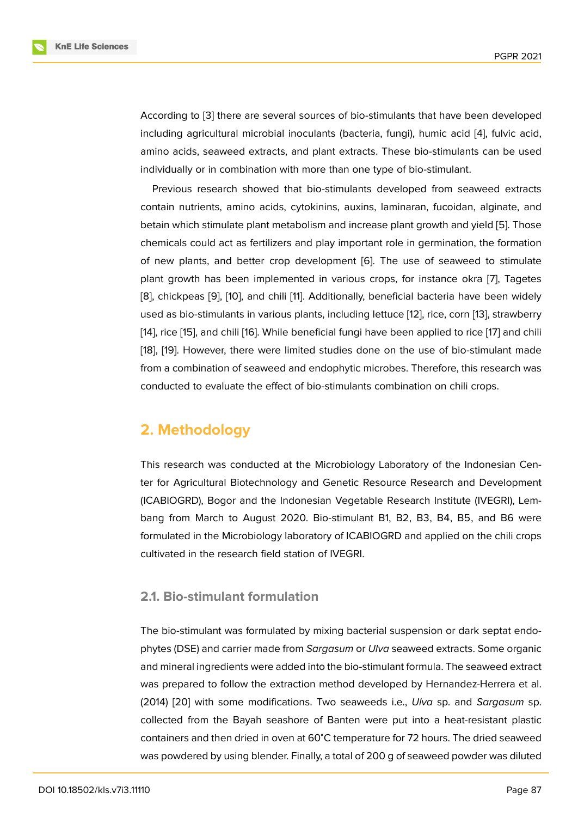According to [3] there are several sources of bio-stimulants that have been developed including agricultural microbial inoculants (bacteria, fungi), humic acid [4], fulvic acid, amino acids, seaweed extracts, and plant extracts. These bio-stimulants can be used individually or [in](#page-10-0) combination with more than one type of bio-stimulant.

Previous research showed that bio-stimulants developed from sea[we](#page-10-1)ed extracts contain nutrients, amino acids, cytokinins, auxins, laminaran, fucoidan, alginate, and betain which stimulate plant metabolism and increase plant growth and yield [5]. Those chemicals could act as fertilizers and play important role in germination, the formation of new plants, and better crop development [6]. The use of seaweed to stimulate plant growth has been implemented in various crops, for instance okra [7][,](#page-10-2) Tagetes [8], chickpeas [9], [10], and chili [11]. Additionally, beneficial bacteria have been widely used as bio-stimulants in various plants, includin[g](#page-10-3) lettuce [12], rice, corn [13], strawberry [14], rice [15], and chili [16]. While beneficial fungi have been applied to rice [[17](#page-10-4)] and chili [[18](#page-10-5)], [19]. Howe[ve](#page-10-6)r, [th](#page-10-7)ere were li[mi](#page-10-8)ted studies done on the use of bio-stimulant made from a combination of seaweed and endophytic microbes. [Th](#page-10-9)erefore, thi[s re](#page-11-0)search was [con](#page-11-1)duct[ed t](#page-11-2)o evaluat[e th](#page-11-3)e effect of bio-stimulants combination on chili cro[ps.](#page-11-4)

# **2. Methodology**

This research was conducted at the Microbiology Laboratory of the Indonesian Center for Agricultural Biotechnology and Genetic Resource Research and Development (ICABIOGRD), Bogor and the Indonesian Vegetable Research Institute (IVEGRI), Lembang from March to August 2020. Bio-stimulant B1, B2, B3, B4, B5, and B6 were formulated in the Microbiology laboratory of ICABIOGRD and applied on the chili crops cultivated in the research field station of IVEGRI.

### **2.1. Bio-stimulant formulation**

The bio-stimulant was formulated by mixing bacterial suspension or dark septat endophytes (DSE) and carrier made from *Sargasum* or *Ulva* seaweed extracts. Some organic and mineral ingredients were added into the bio-stimulant formula. The seaweed extract was prepared to follow the extraction method developed by Hernandez-Herrera et al. (2014) [20] with some modifications. Two seaweeds i.e., *Ulva* sp. and *Sargasum* sp. collected from the Bayah seashore of Banten were put into a heat-resistant plastic containers and then dried in oven at 60<sup>∘</sup>C temperature for 72 hours. The dried seaweed was po[wde](#page-11-5)red by using blender. Finally, a total of 200 g of seaweed powder was diluted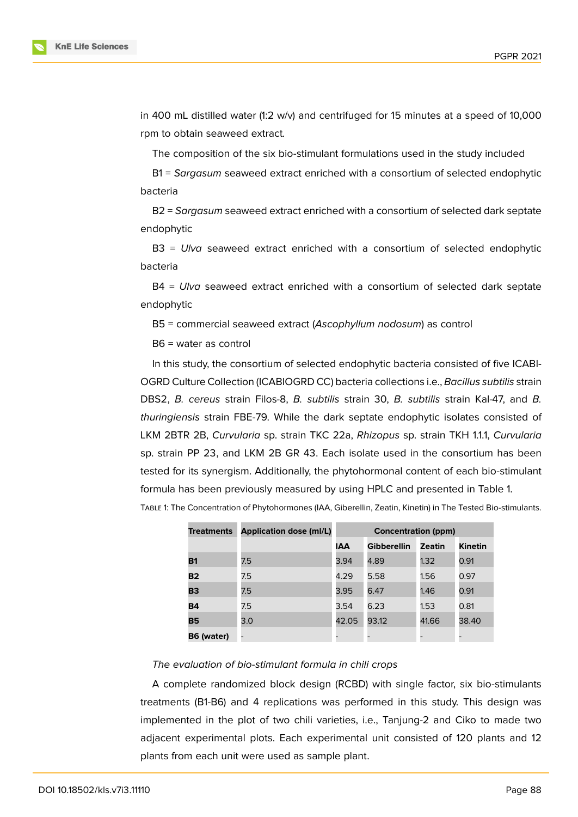

in 400 mL distilled water (1:2 w/v) and centrifuged for 15 minutes at a speed of 10,000 rpm to obtain seaweed extract*.*

The composition of the six bio-stimulant formulations used in the study included

B1 = *Sargasum* seaweed extract enriched with a consortium of selected endophytic bacteria

B2 = *Sargasum* seaweed extract enriched with a consortium of selected dark septate endophytic

B3 = *Ulva* seaweed extract enriched with a consortium of selected endophytic bacteria

B4 = *Ulva* seaweed extract enriched with a consortium of selected dark septate endophytic

B5 = commercial seaweed extract (*Ascophyllum nodosum*) as control

B6 = water as control

In this study, the consortium of selected endophytic bacteria consisted of five ICABI-OGRD Culture Collection (ICABIOGRD CC) bacteria collections i.e., *Bacillus subtilis* strain DBS2, *B. cereus* strain Filos-8, *B. subtilis* strain 30, *B. subtilis* strain Kal-47, and *B. thuringiensis* strain FBE-79. While the dark septate endophytic isolates consisted of LKM 2BTR 2B, *Curvularia* sp. strain TKC 22a, *Rhizopus* sp. strain TKH 1.1.1, *Curvularia* sp. strain PP 23, and LKM 2B GR 43. Each isolate used in the consortium has been tested for its synergism. Additionally, the phytohormonal content of each bio-stimulant formula has been previously measured by using HPLC and presented in Table 1.

Table 1: The Concentration of Phytohormones (IAA, Giberellin, Zeatin, Kinetin) in The Tested Bio-stimulants.

| <b>Treatments</b> | <b>Application dose (ml/L)</b> | <b>Concentration (ppm)</b> |                    |        |                |  |
|-------------------|--------------------------------|----------------------------|--------------------|--------|----------------|--|
|                   |                                | IAA                        | <b>Gibberellin</b> | Zeatin | <b>Kinetin</b> |  |
| <b>B1</b>         | 7.5                            | 3.94                       | 4.89               | 1.32   | 0.91           |  |
| <b>B2</b>         | 7.5                            | 4.29                       | 5.58               | 1.56   | 0.97           |  |
| <b>B3</b>         | 7.5                            | 3.95                       | 6.47               | 1.46   | 0.91           |  |
| <b>B4</b>         | 7.5                            | 3.54                       | 6.23               | 1.53   | 0.81           |  |
| <b>B5</b>         | 3.0                            | 42.05                      | 93.12              | 41.66  | 38.40          |  |
| B6 (water)        |                                |                            |                    |        |                |  |

#### *The evaluation of bio-stimulant formula in chili crops*

A complete randomized block design (RCBD) with single factor, six bio-stimulants treatments (B1-B6) and 4 replications was performed in this study. This design was implemented in the plot of two chili varieties, i.e., Tanjung-2 and Ciko to made two adjacent experimental plots. Each experimental unit consisted of 120 plants and 12 plants from each unit were used as sample plant.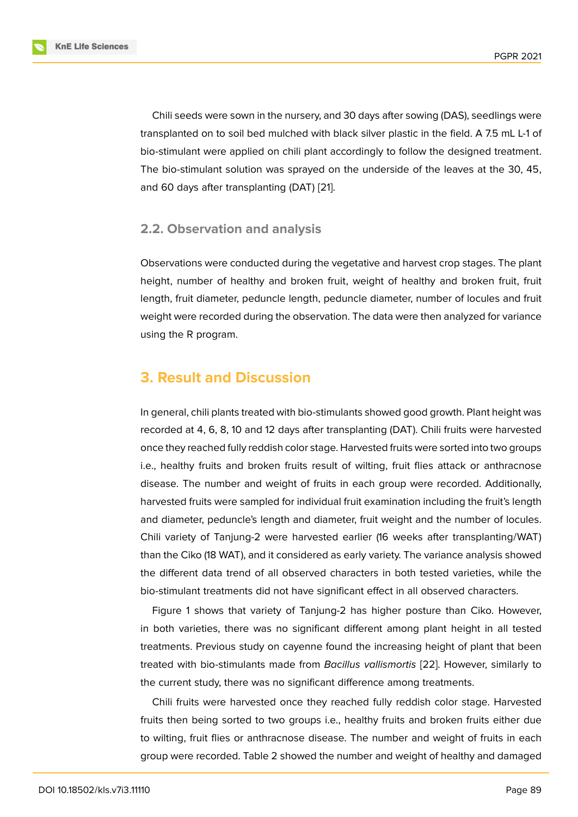Chili seeds were sown in the nursery, and 30 days after sowing (DAS), seedlings were transplanted on to soil bed mulched with black silver plastic in the field. A 7.5 mL L-1 of bio-stimulant were applied on chili plant accordingly to follow the designed treatment. The bio-stimulant solution was sprayed on the underside of the leaves at the 30, 45, and 60 days after transplanting (DAT) [21].

### **2.2. Observation and analysi[s](#page-12-0)**

Observations were conducted during the vegetative and harvest crop stages. The plant height, number of healthy and broken fruit, weight of healthy and broken fruit, fruit length, fruit diameter, peduncle length, peduncle diameter, number of locules and fruit weight were recorded during the observation. The data were then analyzed for variance using the R program.

## **3. Result and Discussion**

In general, chili plants treated with bio-stimulants showed good growth. Plant height was recorded at 4, 6, 8, 10 and 12 days after transplanting (DAT). Chili fruits were harvested once they reached fully reddish color stage. Harvested fruits were sorted into two groups i.e., healthy fruits and broken fruits result of wilting, fruit flies attack or anthracnose disease. The number and weight of fruits in each group were recorded. Additionally, harvested fruits were sampled for individual fruit examination including the fruit's length and diameter, peduncle's length and diameter, fruit weight and the number of locules. Chili variety of Tanjung-2 were harvested earlier (16 weeks after transplanting/WAT) than the Ciko (18 WAT), and it considered as early variety. The variance analysis showed the different data trend of all observed characters in both tested varieties, while the bio-stimulant treatments did not have significant effect in all observed characters.

Figure 1 shows that variety of Tanjung-2 has higher posture than Ciko. However, in both varieties, there was no significant different among plant height in all tested treatments. Previous study on cayenne found the increasing height of plant that been treated w[it](#page-4-0)h bio-stimulants made from *Bacillus vallismortis* [22]. However, similarly to the current study, there was no significant difference among treatments.

Chili fruits were harvested once they reached fully reddish color stage. Harvested fruits then being sorted to two groups i.e., healthy fruits an[d b](#page-12-1)roken fruits either due to wilting, fruit flies or anthracnose disease. The number and weight of fruits in each group were recorded. Table 2 showed the number and weight of healthy and damaged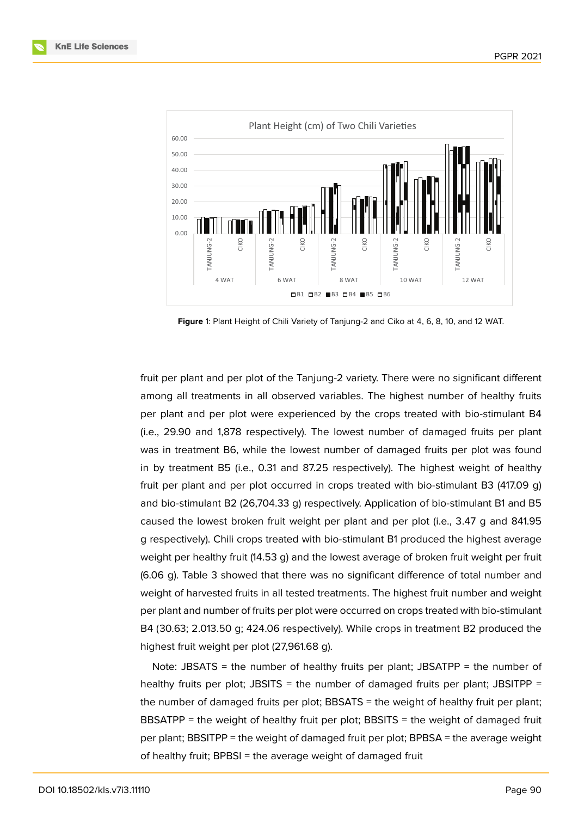

<span id="page-4-0"></span>**Figure** 1: Plant Height of Chili Variety of Tanjung-2 and Ciko at 4, 6, 8, 10, and 12 WAT.

fruit per plant and per plot of the Tanjung-2 variety. There were no significant different among all treatments in all observed variables. The highest number of healthy fruits per plant and per plot were experienced by the crops treated with bio-stimulant B4 (i.e., 29.90 and 1,878 respectively). The lowest number of damaged fruits per plant was in treatment B6, while the lowest number of damaged fruits per plot was found in by treatment B5 (i.e., 0.31 and 87.25 respectively). The highest weight of healthy fruit per plant and per plot occurred in crops treated with bio-stimulant B3 (417.09 g) and bio-stimulant B2 (26,704.33 g) respectively. Application of bio-stimulant B1 and B5 caused the lowest broken fruit weight per plant and per plot (i.e., 3.47 g and 841.95 g respectively). Chili crops treated with bio-stimulant B1 produced the highest average weight per healthy fruit (14.53 g) and the lowest average of broken fruit weight per fruit (6.06 g). Table 3 showed that there was no significant difference of total number and weight of harvested fruits in all tested treatments. The highest fruit number and weight per plant and number of fruits per plot were occurred on crops treated with bio-stimulant B4 (30.63; 2.013.50 g; 424.06 respectively). While crops in treatment B2 produced the highest fruit weight per plot (27,961.68 g).

Note: JBSATS = the number of healthy fruits per plant; JBSATPP = the number of healthy fruits per plot; JBSITS = the number of damaged fruits per plant; JBSITPP = the number of damaged fruits per plot; BBSATS = the weight of healthy fruit per plant; BBSATPP = the weight of healthy fruit per plot; BBSITS = the weight of damaged fruit per plant; BBSITPP = the weight of damaged fruit per plot; BPBSA = the average weight of healthy fruit; BPBSI = the average weight of damaged fruit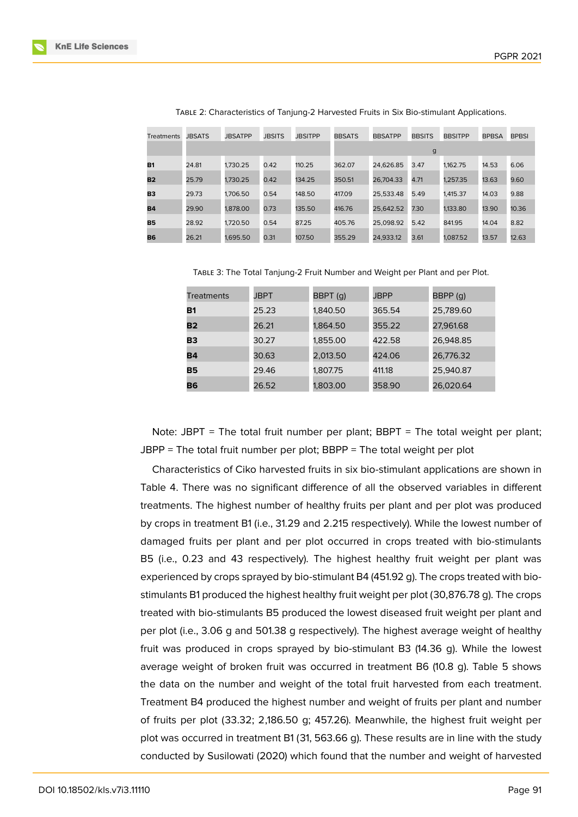| <b>Treatments</b> | <b>JBSATS</b> | <b>JBSATPP</b> | <b>JBSITS</b> | <b>JBSITPP</b> | <b>BBSATS</b> | <b>BBSATPP</b> | <b>BBSITS</b> | <b>BBSITPP</b> | <b>BPBSA</b> | <b>BPBSI</b> |
|-------------------|---------------|----------------|---------------|----------------|---------------|----------------|---------------|----------------|--------------|--------------|
|                   |               |                |               |                |               |                | g             |                |              |              |
| <b>B1</b>         | 24.81         | 1.730.25       | 0.42          | 110.25         | 362.07        | 24.626.85      | 3.47          | 1.162.75       | 14.53        | 6.06         |
| <b>B2</b>         | 25.79         | 1.730.25       | 0.42          | 134.25         | 350.51        | 26.704.33      | 4.71          | 1.257.35       | 13.63        | 9.60         |
| <b>B3</b>         | 29.73         | 1,706.50       | 0.54          | 148.50         | 417.09        | 25.533.48      | 5.49          | 1.415.37       | 14.03        | 9.88         |
| <b>B4</b>         | 29.90         | 1,878,00       | 0.73          | 135.50         | 416.76        | 25.642.52      | 7.30          | 1.133.80       | 13.90        | 10.36        |
| <b>B5</b>         | 28.92         | 1,720.50       | 0.54          | 87.25          | 405.76        | 25.098.92      | 5.42          | 841.95         | 14.04        | 8.82         |
| <b>B6</b>         | 26.21         | 1.695.50       | 0.31          | 107.50         | 355.29        | 24.933.12      | 3.61          | 1.087.52       | 13.57        | 12.63        |

Table 2: Characteristics of Tanjung-2 Harvested Fruits in Six Bio-stimulant Applications.

Table 3: The Total Tanjung-2 Fruit Number and Weight per Plant and per Plot.

| <b>Treatments</b> | JBPT  | BBPT (q) | <b>JBPP</b> | BBPP (q)  |  |
|-------------------|-------|----------|-------------|-----------|--|
| <b>B1</b>         | 25.23 | 1,840.50 | 365.54      | 25,789.60 |  |
| B2                | 26.21 | 1,864.50 | 355.22      | 27,961.68 |  |
| В3                | 30.27 | 1,855.00 | 422.58      | 26,948.85 |  |
| Β4                | 30.63 | 2,013.50 | 424.06      | 26.776.32 |  |
| <b>B5</b>         | 29.46 | 1,807.75 | 411.18      | 25,940.87 |  |
| Β6                | 26.52 | 1.803.00 | 358.90      | 26.020.64 |  |

Note: JBPT = The total fruit number per plant; BBPT = The total weight per plant; JBPP = The total fruit number per plot; BBPP = The total weight per plot

Characteristics of Ciko harvested fruits in six bio-stimulant applications are shown in Table 4. There was no significant difference of all the observed variables in different treatments. The highest number of healthy fruits per plant and per plot was produced by crops in treatment B1 (i.e., 31.29 and 2.215 respectively). While the lowest number of damaged fruits per plant and per plot occurred in crops treated with bio-stimulants B5 (i.e., 0.23 and 43 respectively). The highest healthy fruit weight per plant was experienced by crops sprayed by bio-stimulant B4 (451.92 g). The crops treated with biostimulants B1 produced the highest healthy fruit weight per plot (30,876.78 g). The crops treated with bio-stimulants B5 produced the lowest diseased fruit weight per plant and per plot (i.e., 3.06 g and 501.38 g respectively). The highest average weight of healthy fruit was produced in crops sprayed by bio-stimulant B3 (14.36 g). While the lowest average weight of broken fruit was occurred in treatment B6 (10.8 g). Table 5 shows the data on the number and weight of the total fruit harvested from each treatment. Treatment B4 produced the highest number and weight of fruits per plant and number of fruits per plot (33.32; 2,186.50 g; 457.26). Meanwhile, the highest fruit weight per plot was occurred in treatment B1 (31, 563.66 g). These results are in line with the study conducted by Susilowati (2020) which found that the number and weight of harvested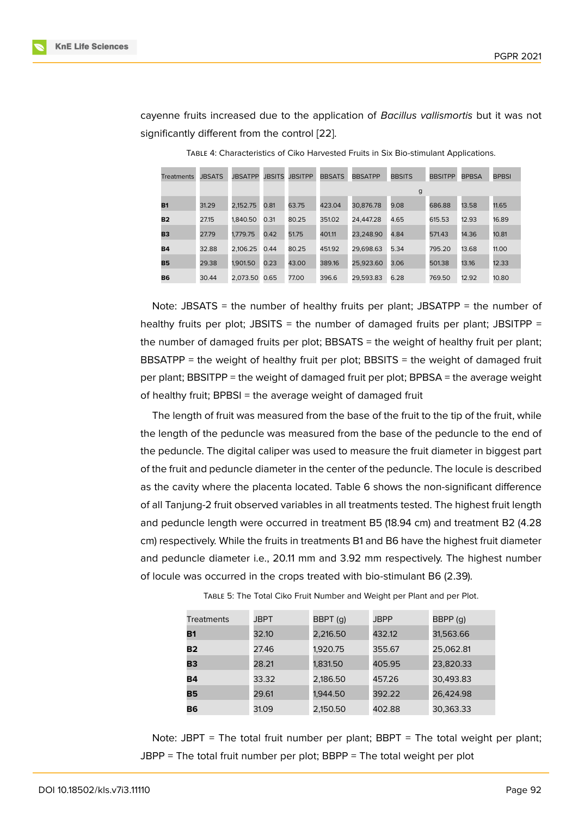cayenne fruits increased due to the application of *Bacillus vallismortis* but it was not significantly different from the control [22].

| <b>Treatments</b> | <b>JBSATS</b> | <b>JBSATPP</b> | <b>JBSITS</b> | <b>JBSITPP</b> | <b>BBSATS</b> | <b>BBSATPP</b> | <b>BBSITS</b> | <b>BBSITPP</b> | <b>BPBSA</b> | <b>BPBSI</b> |
|-------------------|---------------|----------------|---------------|----------------|---------------|----------------|---------------|----------------|--------------|--------------|
|                   |               |                |               |                |               |                | g             |                |              |              |
| <b>B1</b>         | 31.29         | 2.152.75       | 0.81          | 63.75          | 423.04        | 30.876.78      | 9.08          | 686.88         | 13.58        | 11.65        |
| <b>B2</b>         | 27.15         | 1.840.50       | 0.31          | 80.25          | 351.02        | 24.447.28      | 4.65          | 615.53         | 12.93        | 16.89        |
| B <sub>3</sub>    | 27.79         | 1.779.75       | 0.42          | 51.75          | 401.11        | 23.248.90      | 4.84          | 571.43         | 14.36        | 10.81        |
| <b>B4</b>         | 32.88         | 2.106.25       | 0.44          | 80.25          | 451.92        | 29.698.63      | 5.34          | 795.20         | 13.68        | 11.00        |
| <b>B5</b>         | 29.38         | 1.901.50       | 0.23          | 43.00          | 389.16        | 25,923.60      | 3.06          | 501.38         | 13.16        | 12.33        |
| <b>B6</b>         | 30.44         | 2.073.50       | 0.65          | 77.00          | 396.6         | 29.593.83      | 6.28          | 769.50         | 12.92        | 10.80        |

Table 4: Characteristics of Ciko Harvested Fruits in Six Bio-stimulant Applications.

Note: JBSATS = the number of healthy fruits per plant; JBSATPP = the number of healthy fruits per plot; JBSITS = the number of damaged fruits per plant; JBSITPP = the number of damaged fruits per plot; BBSATS = the weight of healthy fruit per plant; BBSATPP = the weight of healthy fruit per plot; BBSITS = the weight of damaged fruit per plant; BBSITPP = the weight of damaged fruit per plot; BPBSA = the average weight of healthy fruit; BPBSI = the average weight of damaged fruit

The length of fruit was measured from the base of the fruit to the tip of the fruit, while the length of the peduncle was measured from the base of the peduncle to the end of the peduncle. The digital caliper was used to measure the fruit diameter in biggest part of the fruit and peduncle diameter in the center of the peduncle. The locule is described as the cavity where the placenta located. Table 6 shows the non-significant difference of all Tanjung-2 fruit observed variables in all treatments tested. The highest fruit length and peduncle length were occurred in treatment B5 (18.94 cm) and treatment B2 (4.28 cm) respectively. While the fruits in treatments B1 and B6 have the highest fruit diameter and peduncle diameter i.e., 20.11 mm and 3.92 mm respectively. The highest number of locule was occurred in the crops treated with bio-stimulant B6 (2.39).

| <b>Treatments</b> | JBPT  | BBPT (q) | JBPP   | BBPP (q)  |
|-------------------|-------|----------|--------|-----------|
| <b>B1</b>         | 32.10 | 2,216.50 | 432.12 | 31,563.66 |
| <b>B2</b>         | 27.46 | 1,920.75 | 355.67 | 25,062.81 |
| <b>B3</b>         | 28.21 | 1,831.50 | 405.95 | 23,820.33 |
| B4                | 33.32 | 2,186.50 | 457.26 | 30,493.83 |
| B5                | 29.61 | 1,944.50 | 392.22 | 26,424.98 |
| B6                | 31.09 | 2,150.50 | 402.88 | 30,363.33 |

Table 5: The Total Ciko Fruit Number and Weight per Plant and per Plot.

Note: JBPT = The total fruit number per plant; BBPT = The total weight per plant; JBPP = The total fruit number per plot; BBPP = The total weight per plot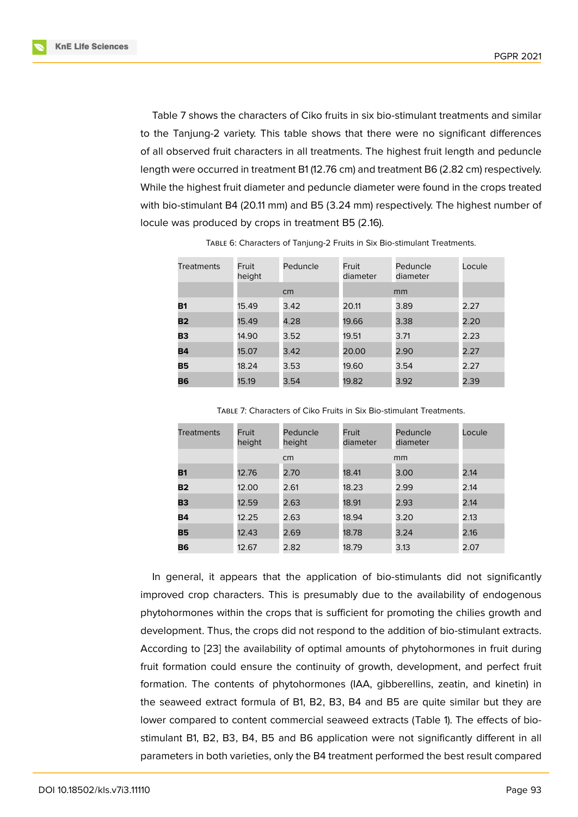Table 7 shows the characters of Ciko fruits in six bio-stimulant treatments and similar to the Tanjung-2 variety. This table shows that there were no significant differences of all observed fruit characters in all treatments. The highest fruit length and peduncle length were occurred in treatment B1 (12.76 cm) and treatment B6 (2.82 cm) respectively. While the highest fruit diameter and peduncle diameter were found in the crops treated with bio-stimulant B4 (20.11 mm) and B5 (3.24 mm) respectively. The highest number of locule was produced by crops in treatment B5 (2.16).

| <b>Treatments</b> | Fruit<br>height | Peduncle | Fruit<br>diameter | Peduncle<br>diameter | Locule |
|-------------------|-----------------|----------|-------------------|----------------------|--------|
|                   |                 | cm       |                   | mm                   |        |
| <b>B1</b>         | 15.49           | 3.42     | 20.11             | 3.89                 | 2.27   |
| <b>B2</b>         | 15.49           | 4.28     | 19.66             | 3.38                 | 2.20   |
| <b>B3</b>         | 14.90           | 3.52     | 19.51             | 3.71                 | 2.23   |
| <b>B4</b>         | 15.07           | 3.42     | 20.00             | 2.90                 | 2.27   |
| <b>B5</b>         | 18.24           | 3.53     | 19.60             | 3.54                 | 2.27   |
| <b>B6</b>         | 15.19           | 3.54     | 19.82             | 3.92                 | 2.39   |

Table 6: Characters of Tanjung-2 Fruits in Six Bio-stimulant Treatments.

Table 7: Characters of Ciko Fruits in Six Bio-stimulant Treatments.

| <b>Treatments</b> | Fruit<br>height | Peduncle<br>height | Fruit<br>diameter | Peduncle<br>diameter | Locule |
|-------------------|-----------------|--------------------|-------------------|----------------------|--------|
|                   |                 | cm                 |                   | mm                   |        |
| <b>B1</b>         | 12.76           | 2.70               | 18.41             | 3.00                 | 2.14   |
| <b>B2</b>         | 12.00           | 2.61               | 18.23             | 2.99                 | 2.14   |
| <b>B3</b>         | 12.59           | 2.63               | 18.91             | 2.93                 | 2.14   |
| <b>B4</b>         | 12.25           | 2.63               | 18.94             | 3.20                 | 2.13   |
| <b>B5</b>         | 12.43           | 2.69               | 18.78             | 3.24                 | 2.16   |
| <b>B6</b>         | 12.67           | 2.82               | 18.79             | 3.13                 | 2.07   |

In general, it appears that the application of bio-stimulants did not significantly improved crop characters. This is presumably due to the availability of endogenous phytohormones within the crops that is sufficient for promoting the chilies growth and development. Thus, the crops did not respond to the addition of bio-stimulant extracts. According to [23] the availability of optimal amounts of phytohormones in fruit during fruit formation could ensure the continuity of growth, development, and perfect fruit formation. The contents of phytohormones (IAA, gibberellins, zeatin, and kinetin) in the seaweed [ext](#page-12-2)ract formula of B1, B2, B3, B4 and B5 are quite similar but they are lower compared to content commercial seaweed extracts (Table 1). The effects of biostimulant B1, B2, B3, B4, B5 and B6 application were not significantly different in all parameters in both varieties, only the B4 treatment performed the best result compared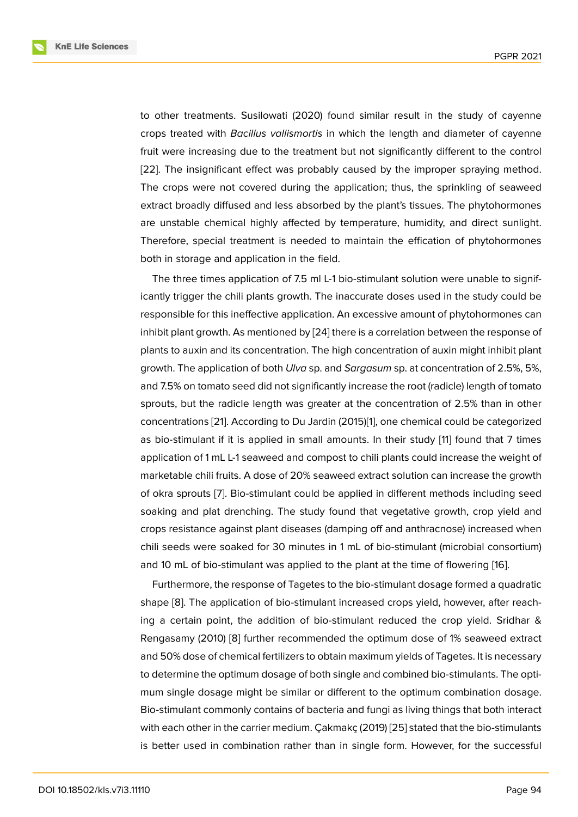to other treatments. Susilowati (2020) found similar result in the study of cayenne crops treated with *Bacillus vallismortis* in which the length and diameter of cayenne fruit were increasing due to the treatment but not significantly different to the control [22]. The insignificant effect was probably caused by the improper spraying method. The crops were not covered during the application; thus, the sprinkling of seaweed extract broadly diffused and less absorbed by the plant's tissues. The phytohormones [are](#page-12-1) unstable chemical highly affected by temperature, humidity, and direct sunlight. Therefore, special treatment is needed to maintain the effication of phytohormones both in storage and application in the field.

The three times application of 7.5 ml L-1 bio-stimulant solution were unable to significantly trigger the chili plants growth. The inaccurate doses used in the study could be responsible for this ineffective application. An excessive amount of phytohormones can inhibit plant growth. As mentioned by [24] there is a correlation between the response of plants to auxin and its concentration. The high concentration of auxin might inhibit plant growth. The application of both *Ulva* sp. and *Sargasum* sp. at concentration of 2.5%, 5%, and 7.5% on tomato seed did not signi[fica](#page-12-3)ntly increase the root (radicle) length of tomato sprouts, but the radicle length was greater at the concentration of 2.5% than in other concentrations [21]. According to Du Jardin (2015)[1], one chemical could be categorized as bio-stimulant if it is applied in small amounts. In their study [11] found that 7 times application of 1 mL L-1 seaweed and compost to chili plants could increase the weight of marketable chili [fru](#page-12-0)its. A dose of 20% seaweed ex[tr](#page-9-0)act solution can increase the growth of okra sprouts [7]. Bio-stimulant could be applied in different m[eth](#page-10-8)ods including seed soaking and plat drenching. The study found that vegetative growth, crop yield and crops resistance against plant diseases (damping off and anthracnose) increased when chili seeds wer[e s](#page-10-4)oaked for 30 minutes in 1 mL of bio-stimulant (microbial consortium) and 10 mL of bio-stimulant was applied to the plant at the time of flowering [16].

Furthermore, the response of Tagetes to the bio-stimulant dosage formed a quadratic shape [8]. The application of bio-stimulant increased crops yield, however, after reaching a certain point, the addition of bio-stimulant reduced the crop yield. [Sr](#page-11-3)idhar & Rengasamy (2010) [8] further recommended the optimum dose of 1% seaweed extract and 50[%](#page-10-5) dose of chemical fertilizers to obtain maximum yields of Tagetes. It is necessary to determine the optimum dosage of both single and combined bio-stimulants. The optimum single dosag[e m](#page-10-5)ight be similar or different to the optimum combination dosage. Bio-stimulant commonly contains of bacteria and fungi as living things that both interact with each other in the carrier medium. Çakmakç (2019) [25] stated that the bio-stimulants is better used in combination rather than in single form. However, for the successful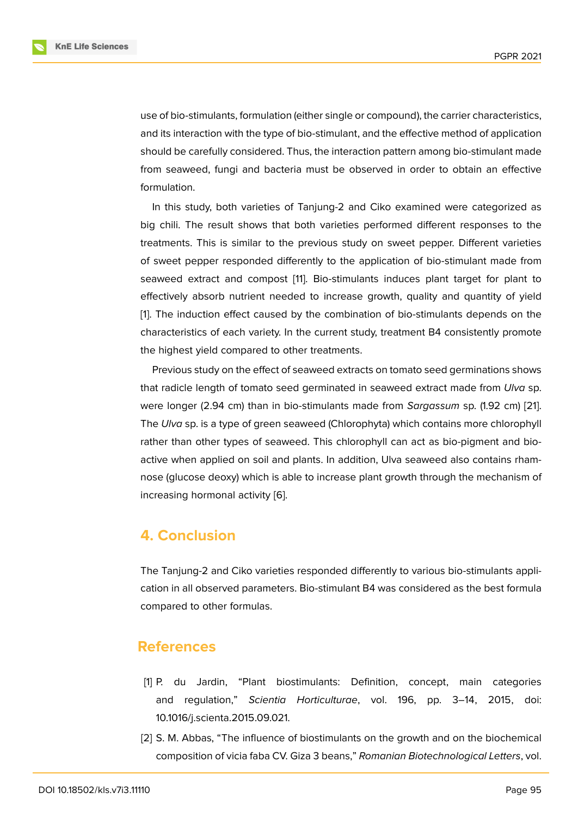use of bio-stimulants, formulation (either single or compound), the carrier characteristics, and its interaction with the type of bio-stimulant, and the effective method of application should be carefully considered. Thus, the interaction pattern among bio-stimulant made from seaweed, fungi and bacteria must be observed in order to obtain an effective formulation.

In this study, both varieties of Tanjung-2 and Ciko examined were categorized as big chili. The result shows that both varieties performed different responses to the treatments. This is similar to the previous study on sweet pepper. Different varieties of sweet pepper responded differently to the application of bio-stimulant made from seaweed extract and compost [11]. Bio-stimulants induces plant target for plant to effectively absorb nutrient needed to increase growth, quality and quantity of yield [1]. The induction effect caused by the combination of bio-stimulants depends on the characteristics of each variety. In [th](#page-10-8)e current study, treatment B4 consistently promote the highest yield compared to other treatments.

Previous study on the effect of seaweed extracts on tomato seed germinations shows that radicle length of tomato seed germinated in seaweed extract made from *Ulva* sp. were longer (2.94 cm) than in bio-stimulants made from *Sargassum* sp. (1.92 cm) [21]. The *Ulva* sp. is a type of green seaweed (Chlorophyta) which contains more chlorophyll rather than other types of seaweed. This chlorophyll can act as bio-pigment and bioactive when applied on soil and plants. In addition, Ulva seaweed also contains rh[am](#page-12-0)nose (glucose deoxy) which is able to increase plant growth through the mechanism of increasing hormonal activity [6].

## **4. Conclusion**

The Tanjung-2 and Ciko varieties responded differently to various bio-stimulants application in all observed parameters. Bio-stimulant B4 was considered as the best formula compared to other formulas.

### **References**

- [1] P. du Jardin, "Plant biostimulants: Definition, concept, main categories and regulation," *Scientia Horticulturae*, vol. 196, pp. 3–14, 2015, doi: 10.1016/j.scienta.2015.09.021.
- <span id="page-9-0"></span>[2] S. M. Abbas, "The influence of biostimulants on the growth and on the biochemical composition of vicia faba CV. Giza 3 beans," *Romanian Biotechnological Letters*, vol.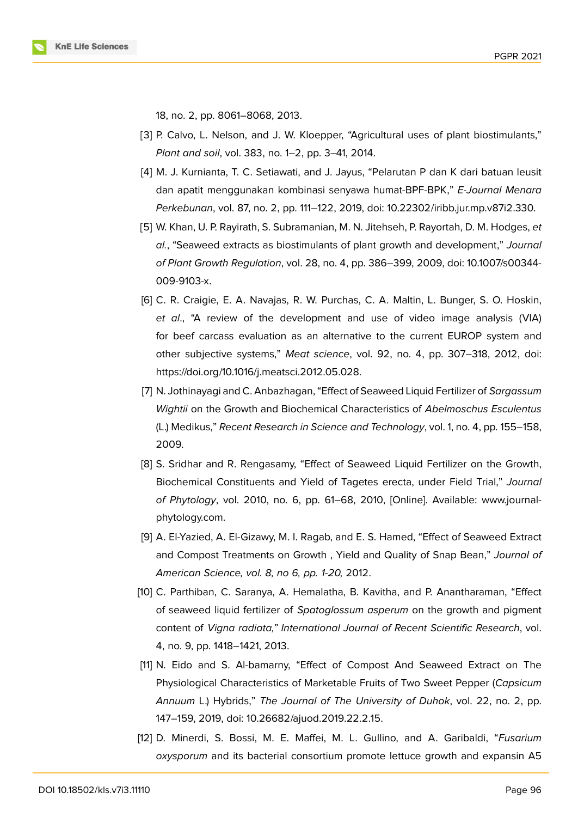18, no. 2, pp. 8061–8068, 2013.

- <span id="page-10-0"></span>[3] P. Calvo, L. Nelson, and J. W. Kloepper, "Agricultural uses of plant biostimulants," *Plant and soil*, vol. 383, no. 1–2, pp. 3–41, 2014.
- <span id="page-10-1"></span>[4] M. J. Kurnianta, T. C. Setiawati, and J. Jayus, "Pelarutan P dan K dari batuan leusit dan apatit menggunakan kombinasi senyawa humat-BPF-BPK," *E-Journal Menara Perkebunan*, vol. 87, no. 2, pp. 111–122, 2019, doi: 10.22302/iribb.jur.mp.v87i2.330.
- <span id="page-10-2"></span>[5] W. Khan, U. P. Rayirath, S. Subramanian, M. N. Jitehseh, P. Rayortah, D. M. Hodges, *et al.*, "Seaweed extracts as biostimulants of plant growth and development," *Journal of Plant Growth Regulation*, vol. 28, no. 4, pp. 386–399, 2009, doi: 10.1007/s00344- 009-9103-x.
- <span id="page-10-3"></span>[6] C. R. Craigie, E. A. Navajas, R. W. Purchas, C. A. Maltin, L. Bunger, S. O. Hoskin, *et al*., "A review of the development and use of video image analysis (VIA) for beef carcass evaluation as an alternative to the current EUROP system and other subjective systems," *Meat science*, vol. 92, no. 4, pp. 307–318, 2012, doi: https://doi.org/10.1016/j.meatsci.2012.05.028.
- <span id="page-10-4"></span>[7] N. Jothinayagi and C. Anbazhagan, "Effect of Seaweed Liquid Fertilizer of *Sargassum Wightii* on the Growth and Biochemical Characteristics of *Abelmoschus Esculentus* (L.) Medikus," *Recent Research in Science and Technology*, vol. 1, no. 4, pp. 155–158, 2009.
- <span id="page-10-5"></span>[8] S. Sridhar and R. Rengasamy, "Effect of Seaweed Liquid Fertilizer on the Growth, Biochemical Constituents and Yield of Tagetes erecta, under Field Trial," *Journal of Phytology*, vol. 2010, no. 6, pp. 61–68, 2010, [Online]. Available: www.journalphytology.com.
- <span id="page-10-6"></span>[9] A. El-Yazied, A. El-Gizawy, M. I. Ragab, and E. S. Hamed, "Effect of Seaweed Extract and Compost Treatments on Growth , Yield and Quality of Snap Bean," *Journal of American Science, vol. 8, no 6, pp. 1-20,* 2012.
- <span id="page-10-7"></span>[10] C. Parthiban, C. Saranya, A. Hemalatha, B. Kavitha, and P. Anantharaman, "Effect of seaweed liquid fertilizer of *Spatoglossum asperum* on the growth and pigment content of *Vigna radiata," International Journal of Recent Scientific Research*, vol. 4, no. 9, pp. 1418–1421, 2013.
- <span id="page-10-8"></span>[11] N. Eido and S. Al-bamarny, "Effect of Compost And Seaweed Extract on The Physiological Characteristics of Marketable Fruits of Two Sweet Pepper (*Capsicum Annuum* L.) Hybrids," *The Journal of The University of Duhok*, vol. 22, no. 2, pp. 147–159, 2019, doi: 10.26682/ajuod.2019.22.2.15.
- <span id="page-10-9"></span>[12] D. Minerdi, S. Bossi, M. E. Maffei, M. L. Gullino, and A. Garibaldi, "*Fusarium oxysporum* and its bacterial consortium promote lettuce growth and expansin A5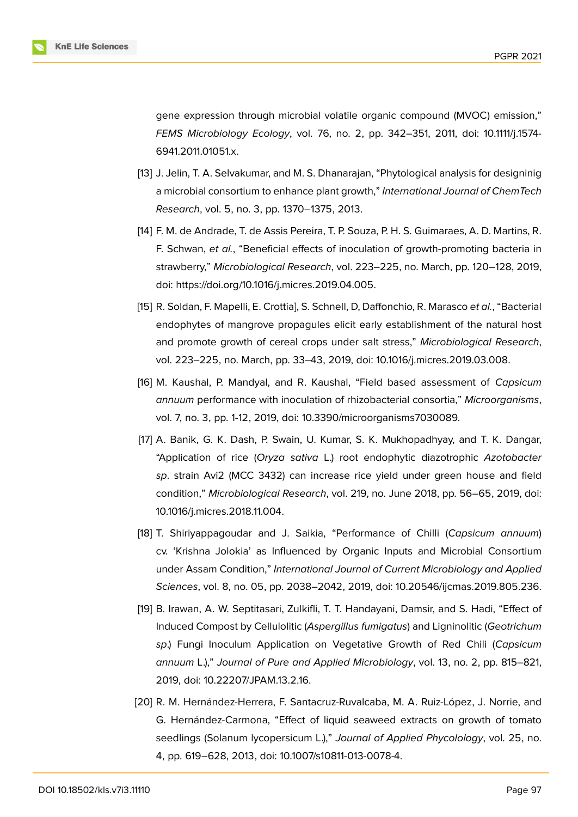

gene expression through microbial volatile organic compound (MVOC) emission," *FEMS Microbiology Ecology*, vol. 76, no. 2, pp. 342–351, 2011, doi: 10.1111/j.1574- 6941.2011.01051.x.

- <span id="page-11-0"></span>[13] J. Jelin, T. A. Selvakumar, and M. S. Dhanarajan, "Phytological analysis for designinig a microbial consortium to enhance plant growth," *International Journal of ChemTech Research*, vol. 5, no. 3, pp. 1370–1375, 2013.
- <span id="page-11-1"></span>[14] F. M. de Andrade, T. de Assis Pereira, T. P. Souza, P. H. S. Guimaraes, A. D. Martins, R. F. Schwan, *et al.*, "Beneficial effects of inoculation of growth-promoting bacteria in strawberry," *Microbiological Research*, vol. 223–225, no. March, pp. 120–128, 2019, doi: https://doi.org/10.1016/j.micres.2019.04.005.
- <span id="page-11-2"></span>[15] R. Soldan, F. Mapelli, E. Crottia], S. Schnell, D, Daffonchio, R. Marasco *et al.*, "Bacterial endophytes of mangrove propagules elicit early establishment of the natural host and promote growth of cereal crops under salt stress," *Microbiological Research*, vol. 223–225, no. March, pp. 33–43, 2019, doi: 10.1016/j.micres.2019.03.008.
- <span id="page-11-3"></span>[16] M. Kaushal, P. Mandyal, and R. Kaushal, "Field based assessment of *Capsicum annuum* performance with inoculation of rhizobacterial consortia," *Microorganisms*, vol. 7, no. 3, pp. 1-12, 2019, doi: 10.3390/microorganisms7030089.
- <span id="page-11-4"></span>[17] A. Banik, G. K. Dash, P. Swain, U. Kumar, S. K. Mukhopadhyay, and T. K. Dangar, "Application of rice (*Oryza sativa* L.) root endophytic diazotrophic *Azotobacter sp*. strain Avi2 (MCC 3432) can increase rice yield under green house and field condition," *Microbiological Research*, vol. 219, no. June 2018, pp. 56–65, 2019, doi: 10.1016/j.micres.2018.11.004.
- [18] T. Shiriyappagoudar and J. Saikia, "Performance of Chilli (*Capsicum annuum*) cv. 'Krishna Jolokia' as Influenced by Organic Inputs and Microbial Consortium under Assam Condition," *International Journal of Current Microbiology and Applied Sciences*, vol. 8, no. 05, pp. 2038–2042, 2019, doi: 10.20546/ijcmas.2019.805.236.
- [19] B. Irawan, A. W. Septitasari, Zulkifli, T. T. Handayani, Damsir, and S. Hadi, "Effect of Induced Compost by Cellulolitic (*Aspergillus fumigatus*) and Ligninolitic (*Geotrichum sp*.) Fungi Inoculum Application on Vegetative Growth of Red Chili (*Capsicum annuum* L.)," *Journal of Pure and Applied Microbiology*, vol. 13, no. 2, pp. 815–821, 2019, doi: 10.22207/JPAM.13.2.16.
- <span id="page-11-5"></span>[20] R. M. Hernández-Herrera, F. Santacruz-Ruvalcaba, M. A. Ruiz-López, J. Norrie, and G. Hernández-Carmona, "Effect of liquid seaweed extracts on growth of tomato seedlings (Solanum lycopersicum L.)," *Journal of Applied Phycolology*, vol. 25, no. 4, pp. 619–628, 2013, doi: 10.1007/s10811-013-0078-4.